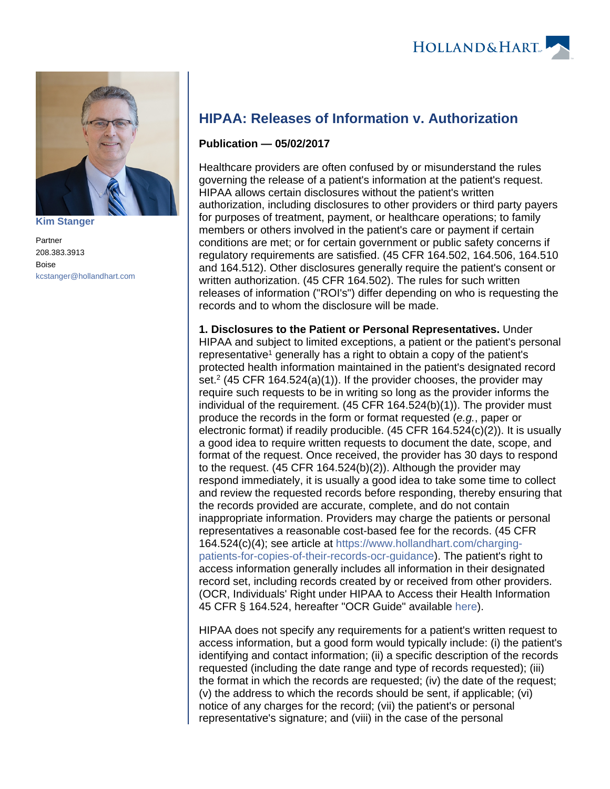

**[Kim Stanger](https://www.hollandhart.com/15954)**

Partner 208.383.3913 Boise [kcstanger@hollandhart.com](mailto:kcstanger@hollandhart.com)

## **HIPAA: Releases of Information v. Authorization**

## **Publication — 05/02/2017**

Healthcare providers are often confused by or misunderstand the rules governing the release of a patient's information at the patient's request. HIPAA allows certain disclosures without the patient's written authorization, including disclosures to other providers or third party payers for purposes of treatment, payment, or healthcare operations; to family members or others involved in the patient's care or payment if certain conditions are met; or for certain government or public safety concerns if regulatory requirements are satisfied. (45 CFR 164.502, 164.506, 164.510 and 164.512). Other disclosures generally require the patient's consent or written authorization. (45 CFR 164.502). The rules for such written releases of information ("ROI's") differ depending on who is requesting the records and to whom the disclosure will be made.

**1. Disclosures to the Patient or Personal Representatives.** Under HIPAA and subject to limited exceptions, a patient or the patient's personal representative<sup>1</sup> generally has a right to obtain a copy of the patient's protected health information maintained in the patient's designated record set.<sup>2</sup> (45 CFR 164.524(a)(1)). If the provider chooses, the provider may require such requests to be in writing so long as the provider informs the individual of the requirement. (45 CFR 164.524(b)(1)). The provider must produce the records in the form or format requested (e.g., paper or electronic format) if readily producible. (45 CFR 164.524(c)(2)). It is usually a good idea to require written requests to document the date, scope, and format of the request. Once received, the provider has 30 days to respond to the request. (45 CFR 164.524(b)(2)). Although the provider may respond immediately, it is usually a good idea to take some time to collect and review the requested records before responding, thereby ensuring that the records provided are accurate, complete, and do not contain inappropriate information. Providers may charge the patients or personal representatives a reasonable cost-based fee for the records. (45 CFR 164.524(c)(4); see article at [https://www.hollandhart.com/charging](https://www.hollandhart.com/charging-patients-for-copies-of-their-records-ocr-guidance)[patients-for-copies-of-their-records-ocr-guidance\)](https://www.hollandhart.com/charging-patients-for-copies-of-their-records-ocr-guidance). The patient's right to access information generally includes all information in their designated record set, including records created by or received from other providers. (OCR, Individuals' Right under HIPAA to Access their Health Information 45 CFR § 164.524, hereafter "OCR Guide" available [here](https://www.hhs.gov/hipaa/for-professionals/privacy/guidance/access/index.html)).

HIPAA does not specify any requirements for a patient's written request to access information, but a good form would typically include: (i) the patient's identifying and contact information; (ii) a specific description of the records requested (including the date range and type of records requested); (iii) the format in which the records are requested; (iv) the date of the request; (v) the address to which the records should be sent, if applicable; (vi) notice of any charges for the record; (vii) the patient's or personal representative's signature; and (viii) in the case of the personal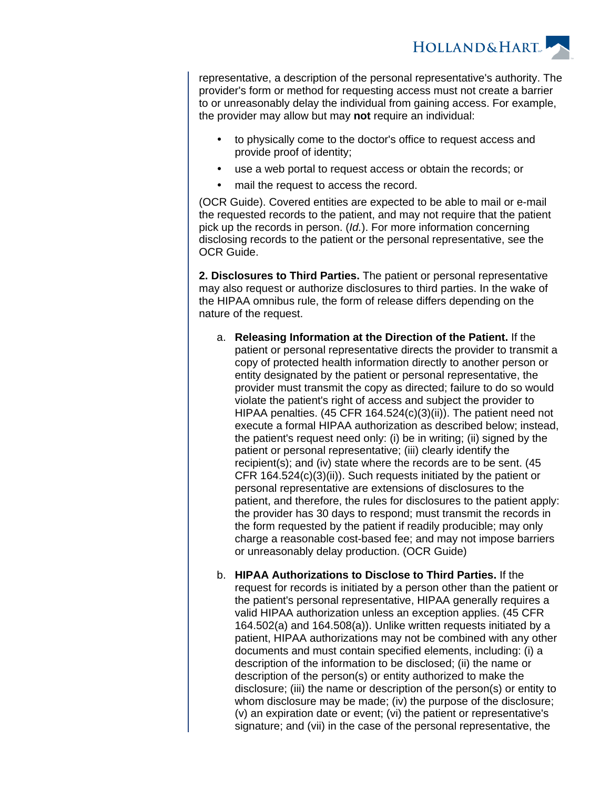

representative, a description of the personal representative's authority. The provider's form or method for requesting access must not create a barrier to or unreasonably delay the individual from gaining access. For example, the provider may allow but may **not** require an individual:

- to physically come to the doctor's office to request access and provide proof of identity;
- use a web portal to request access or obtain the records; or
- mail the request to access the record.

(OCR Guide). Covered entities are expected to be able to mail or e-mail the requested records to the patient, and may not require that the patient pick up the records in person. (Id.). For more information concerning disclosing records to the patient or the personal representative, see the OCR Guide.

**2. Disclosures to Third Parties.** The patient or personal representative may also request or authorize disclosures to third parties. In the wake of the HIPAA omnibus rule, the form of release differs depending on the nature of the request.

- a. **Releasing Information at the Direction of the Patient.** If the patient or personal representative directs the provider to transmit a copy of protected health information directly to another person or entity designated by the patient or personal representative, the provider must transmit the copy as directed; failure to do so would violate the patient's right of access and subject the provider to HIPAA penalties. (45 CFR 164.524(c)(3)(ii)). The patient need not execute a formal HIPAA authorization as described below; instead, the patient's request need only: (i) be in writing; (ii) signed by the patient or personal representative; (iii) clearly identify the recipient(s); and (iv) state where the records are to be sent. (45 CFR 164.524(c)(3)(ii)). Such requests initiated by the patient or personal representative are extensions of disclosures to the patient, and therefore, the rules for disclosures to the patient apply: the provider has 30 days to respond; must transmit the records in the form requested by the patient if readily producible; may only charge a reasonable cost-based fee; and may not impose barriers or unreasonably delay production. (OCR Guide)
- b. **HIPAA Authorizations to Disclose to Third Parties.** If the request for records is initiated by a person other than the patient or the patient's personal representative, HIPAA generally requires a valid HIPAA authorization unless an exception applies. (45 CFR 164.502(a) and 164.508(a)). Unlike written requests initiated by a patient, HIPAA authorizations may not be combined with any other documents and must contain specified elements, including: (i) a description of the information to be disclosed; (ii) the name or description of the person(s) or entity authorized to make the disclosure; (iii) the name or description of the person(s) or entity to whom disclosure may be made; (iv) the purpose of the disclosure; (v) an expiration date or event; (vi) the patient or representative's signature; and (vii) in the case of the personal representative, the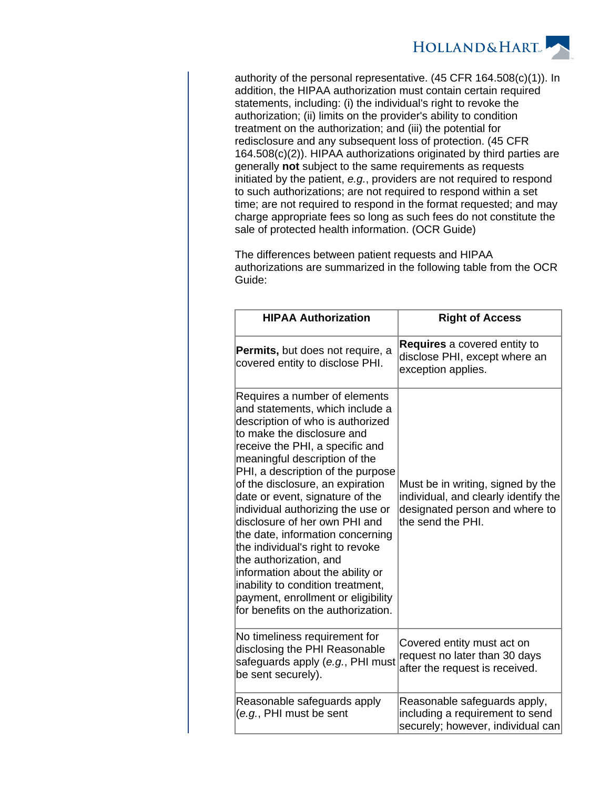

authority of the personal representative. (45 CFR 164.508(c)(1)). In addition, the HIPAA authorization must contain certain required statements, including: (i) the individual's right to revoke the authorization; (ii) limits on the provider's ability to condition treatment on the authorization; and (iii) the potential for redisclosure and any subsequent loss of protection. (45 CFR 164.508(c)(2)). HIPAA authorizations originated by third parties are generally **not** subject to the same requirements as requests initiated by the patient, e.g., providers are not required to respond to such authorizations; are not required to respond within a set time; are not required to respond in the format requested; and may charge appropriate fees so long as such fees do not constitute the sale of protected health information. (OCR Guide)

The differences between patient requests and HIPAA authorizations are summarized in the following table from the OCR Guide:

| <b>HIPAA Authorization</b>                                                                                                                                                                                                                                                                                                                                                                                                                                                                                                                                                                                                                      | <b>Right of Access</b>                                                                                                           |
|-------------------------------------------------------------------------------------------------------------------------------------------------------------------------------------------------------------------------------------------------------------------------------------------------------------------------------------------------------------------------------------------------------------------------------------------------------------------------------------------------------------------------------------------------------------------------------------------------------------------------------------------------|----------------------------------------------------------------------------------------------------------------------------------|
| <b>Permits, but does not require, a</b><br>covered entity to disclose PHI.                                                                                                                                                                                                                                                                                                                                                                                                                                                                                                                                                                      | <b>Requires</b> a covered entity to<br>disclose PHI, except where an<br>exception applies.                                       |
| Requires a number of elements<br>and statements, which include a<br>description of who is authorized<br>to make the disclosure and<br>receive the PHI, a specific and<br>meaningful description of the<br>PHI, a description of the purpose<br>of the disclosure, an expiration<br>date or event, signature of the<br>individual authorizing the use or<br>disclosure of her own PHI and<br>the date, information concerning<br>the individual's right to revoke<br>the authorization, and<br>information about the ability or<br>inability to condition treatment,<br>payment, enrollment or eligibility<br>for benefits on the authorization. | Must be in writing, signed by the<br>individual, and clearly identify the<br>designated person and where to<br>the send the PHI. |
| No timeliness requirement for<br>disclosing the PHI Reasonable<br>safeguards apply (e.g., PHI must<br>be sent securely).                                                                                                                                                                                                                                                                                                                                                                                                                                                                                                                        | Covered entity must act on<br>request no later than 30 days<br>after the request is received.                                    |
| Reasonable safeguards apply<br>(e.g., PHI must be sent                                                                                                                                                                                                                                                                                                                                                                                                                                                                                                                                                                                          | Reasonable safeguards apply,<br>including a requirement to send<br>securely; however, individual can                             |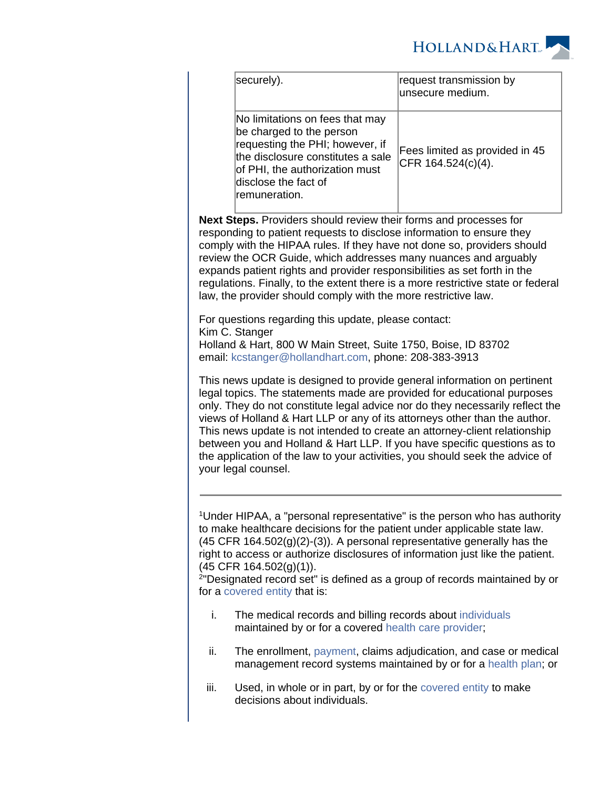

| securely).                                                                                                                                                                                                      | request transmission by<br>unsecure medium.             |
|-----------------------------------------------------------------------------------------------------------------------------------------------------------------------------------------------------------------|---------------------------------------------------------|
| No limitations on fees that may<br>be charged to the person<br>requesting the PHI; however, if<br>the disclosure constitutes a sale<br>of PHI, the authorization must<br>disclose the fact of<br>lremuneration. | Fees limited as provided in 45<br>$CFR 164.524(c)(4)$ . |

**Next Steps.** Providers should review their forms and processes for responding to patient requests to disclose information to ensure they comply with the HIPAA rules. If they have not done so, providers should review the OCR Guide, which addresses many nuances and arguably expands patient rights and provider responsibilities as set forth in the regulations. Finally, to the extent there is a more restrictive state or federal law, the provider should comply with the more restrictive law.

For questions regarding this update, please contact: Kim C. Stanger Holland & Hart, 800 W Main Street, Suite 1750, Boise, ID 83702 email: [kcstanger@hollandhart.com](mailto:kcstanger@hollandhart.com), phone: 208-383-3913

This news update is designed to provide general information on pertinent legal topics. The statements made are provided for educational purposes only. They do not constitute legal advice nor do they necessarily reflect the views of Holland & Hart LLP or any of its attorneys other than the author. This news update is not intended to create an attorney-client relationship between you and Holland & Hart LLP. If you have specific questions as to the application of the law to your activities, you should seek the advice of your legal counsel.

<sup>1</sup>Under HIPAA, a "personal representative" is the person who has authority to make healthcare decisions for the patient under applicable state law.  $(45$  CFR  $164.502(g)(2)-(3)$ ). A personal representative generally has the right to access or authorize disclosures of information just like the patient. (45 CFR 164.502(g)(1)).

2 "Designated record set" is defined as a group of records maintained by or for a [covered entity](https://www.law.cornell.edu/definitions/index.php?width=840&height=800&iframe=true&def_id=28716770bcacc0f4d88852488a3001ad&term_occur=3&term_src=Title:45:Subtitle:A:Subchapter:C:Part:164:Subpart:E:164.501) that is:

- i. The medical records and billing records about [individuals](https://www.law.cornell.edu/definitions/index.php?width=840&height=800&iframe=true&def_id=b0bb40e8f7855eaf4648c96e8424e7cb&term_occur=1&term_src=Title:45:Subtitle:A:Subchapter:C:Part:164:Subpart:E:164.501) maintained by or for a covered [health care provider;](https://www.law.cornell.edu/definitions/index.php?width=840&height=800&iframe=true&def_id=6450eec623e372b8341cf0c7e536eda3&term_occur=1&term_src=Title:45:Subtitle:A:Subchapter:C:Part:164:Subpart:E:164.501)
- ii. The enrollment, [payment](https://www.law.cornell.edu/definitions/index.php?width=840&height=800&iframe=true&def_id=6d8590b5dad524cb42a45ecdd710fb34&term_occur=1&term_src=Title:45:Subtitle:A:Subchapter:C:Part:164:Subpart:E:164.501), claims adjudication, and case or medical management record systems maintained by or for a [health plan;](https://www.law.cornell.edu/definitions/index.php?width=840&height=800&iframe=true&def_id=c380bf1046b6676cfa203e80c3cf00be&term_occur=1&term_src=Title:45:Subtitle:A:Subchapter:C:Part:164:Subpart:E:164.501) or
- iii. Used, in whole or in part, by or for the [covered entity](https://www.law.cornell.edu/definitions/index.php?width=840&height=800&iframe=true&def_id=28716770bcacc0f4d88852488a3001ad&term_occur=4&term_src=Title:45:Subtitle:A:Subchapter:C:Part:164:Subpart:E:164.501) to make decisions about individuals.